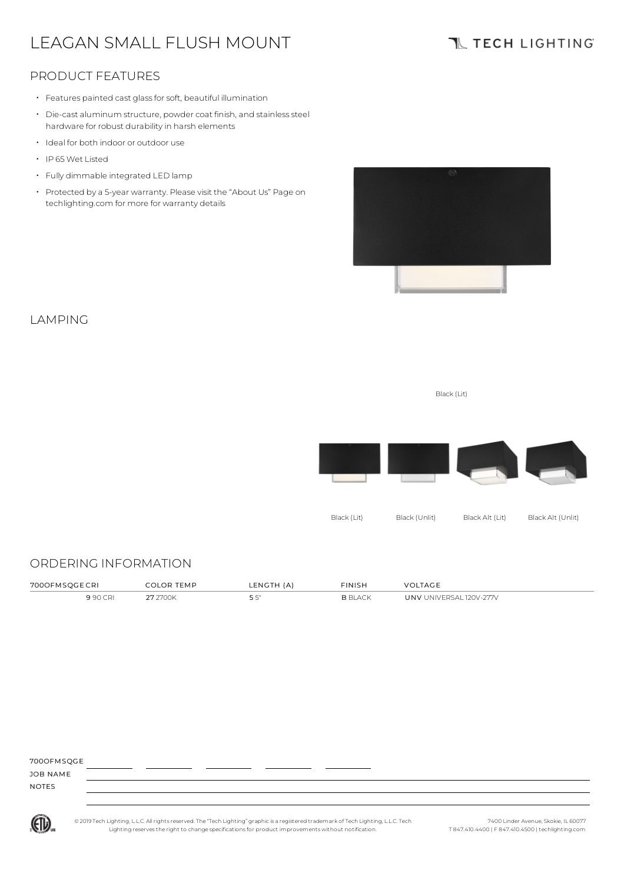# LEAGAN SMALL FLUSH MOUNT

## **TL TECH LIGHTING**

### PRODUCT FEATURES

- Features painted cast glassforsoft, beautiful illumination
- Die-cast aluminum structure, powder coat finish, and stainless steel hardware for robust durability in harsh elements
- Ideal for both indoor or outdoor use
- IP 65Wet Listed
- Fully dimmable integrated LED lamp
- Protected by a 5-year warranty. Please visit the "About Us" Page on techlighting.com for more for warranty details



### LAMPING

Black (Lit)



### ORDERING INFORMATION

| 700OFM  | ים חי<br>FMP | (A)<br><b>LENGT</b><br>the contract of the contract of the contract of | <b>FINISH</b><br>the contract of the contract of the contract of | AG F                              |
|---------|--------------|------------------------------------------------------------------------|------------------------------------------------------------------|-----------------------------------|
| 990 CRI | 700k         | <u>-</u>                                                               | R RI ACV                                                         | $120V - 277V$<br>JNV<br>UNIVERSAL |

| 700OFMSQGE   |  |  |  |
|--------------|--|--|--|
| JOB NAME     |  |  |  |
| <b>NOTES</b> |  |  |  |
|              |  |  |  |



© 2019 Tech Lighting, L.L.C. All rightsreserved. The "Tech Lighting" graphicis a registered trademark of Tech Lighting, L.L.C. Tech Lighting reservesthe right to change specificationsfor product improvements without notification.